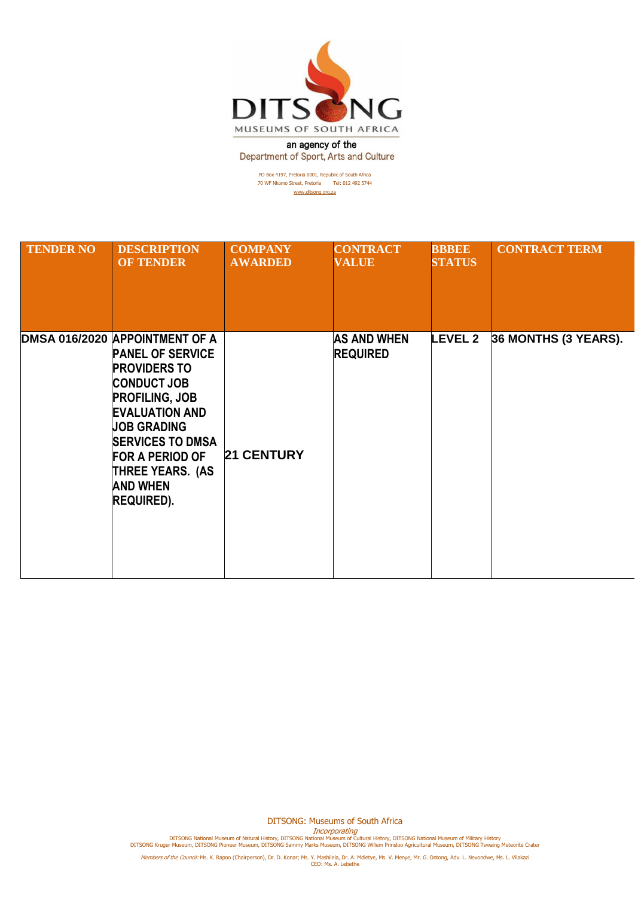

an agency of the Department of Sport, Arts and Culture

> PO Box 4197, Pretoria 0001, Republic of South Africa 70 WF Nkomo Street, Pretoria Tel: 012 492 5744 [www.ditsong.org.za](http://www.ditsong.org.za/)

| <b>TENDER NO</b> | <b>DESCRIPTION</b><br><b>OF TENDER</b>                                                                                                                                                                                                                                                                 | <b>COMPANY</b><br><b>AWARDED</b> | <b>CONTRACT</b><br><b>VALUE</b>       | <b>BBBEE</b><br><b>STATUS</b> | <b>CONTRACT TERM</b> |
|------------------|--------------------------------------------------------------------------------------------------------------------------------------------------------------------------------------------------------------------------------------------------------------------------------------------------------|----------------------------------|---------------------------------------|-------------------------------|----------------------|
|                  | DMSA 016/2020 APPOINTMENT OF A<br><b>PANEL OF SERVICE</b><br><b>PROVIDERS TO</b><br><b>CONDUCT JOB</b><br><b>PROFILING, JOB</b><br><b>EVALUATION AND</b><br><b>JOB GRADING</b><br><b>SERVICES TO DMSA</b><br><b>FOR A PERIOD OF</b><br><b>THREE YEARS. (AS</b><br><b>AND WHEN</b><br><b>REQUIRED).</b> | <b>21 CENTURY</b>                | <b>AS AND WHEN</b><br><b>REQUIRED</b> | <b>LEVEL 2</b>                | 36 MONTHS (3 YEARS). |

DITSONG: Museums of South Africa

Incorporating<br>DITSONG National Museum of Natural History, DITSONG National Museum of Military History<br>DITSONG Kruger Museum, DITSONG Pioneer Museum, DITSONG Sammy Marks Museum, DITSONG Willem Prinsloo Agricultural Museum,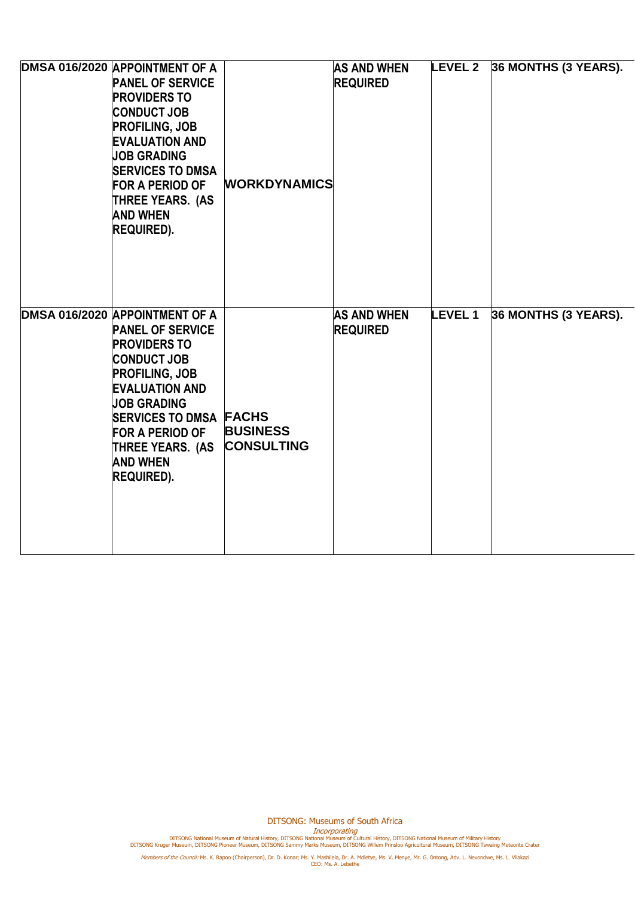| DMSA 016/2020 APPOINTMENT OF A<br><b>PANEL OF SERVICE</b><br><b>PROVIDERS TO</b><br><b>CONDUCT JOB</b><br><b>PROFILING, JOB</b><br><b>EVALUATION AND</b><br><b>JOB GRADING</b><br><b>SERVICES TO DMSA</b><br><b>FOR A PERIOD OF</b><br><b>THREE YEARS. (AS</b><br><b>AND WHEN</b><br><b>REQUIRED).</b>       | <b>WORKDYNAMICS</b>                  | <b>AS AND WHEN</b><br><b>REQUIRED</b> |               | LEVEL 2 36 MONTHS (3 YEARS). |
|--------------------------------------------------------------------------------------------------------------------------------------------------------------------------------------------------------------------------------------------------------------------------------------------------------------|--------------------------------------|---------------------------------------|---------------|------------------------------|
| DMSA 016/2020 APPOINTMENT OF A<br><b>PANEL OF SERVICE</b><br><b>PROVIDERS TO</b><br><b>CONDUCT JOB</b><br><b>PROFILING, JOB</b><br><b>EVALUATION AND</b><br><b>JOB GRADING</b><br><b>SERVICES TO DMSA FACHS</b><br><b>FOR A PERIOD OF</b><br><b>THREE YEARS. (AS</b><br><b>AND WHEN</b><br><b>REQUIRED).</b> | <b>BUSINESS</b><br><b>CONSULTING</b> | <b>AS AND WHEN</b><br><b>REQUIRED</b> | <b>LEVEL1</b> | 36 MONTHS (3 YEARS).         |

DITSONG: Museums of South Africa

Incorporating<br>DITSONG National Museum of Natural History, DITSONG National Museum of Military History<br>DITSONG Kruger Museum, DITSONG Pioneer Museum, DITSONG Sammy Marks Museum, DITSONG Willem Prinsloo Agricultural Museum,